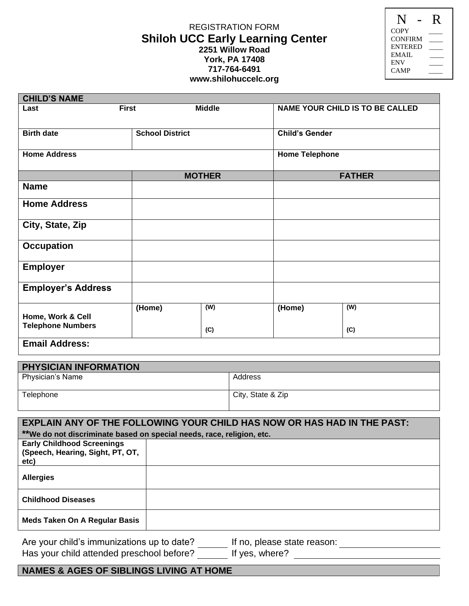## REGISTRATION FORM **Shiloh UCC Early Learning Center 2251 Willow Road York, PA 17408 717-764-6491 www.shilohuccelc.org**

| N              | $\mathsf R$ |
|----------------|-------------|
| COPY           |             |
| CONFIRM        |             |
| <b>ENTERED</b> |             |
| EMAIL          |             |
| <b>ENV</b>     |             |
| CAMP           |             |
|                |             |

| <b>CHILD'S NAME</b>                           |              |                       |                       |                                        |  |  |
|-----------------------------------------------|--------------|-----------------------|-----------------------|----------------------------------------|--|--|
| Last                                          | <b>First</b> | <b>Middle</b>         |                       | <b>NAME YOUR CHILD IS TO BE CALLED</b> |  |  |
| <b>Birth date</b><br><b>School District</b>   |              | <b>Child's Gender</b> |                       |                                        |  |  |
| <b>Home Address</b>                           |              |                       | <b>Home Telephone</b> |                                        |  |  |
|                                               |              | <b>MOTHER</b>         |                       | <b>FATHER</b>                          |  |  |
| <b>Name</b>                                   |              |                       |                       |                                        |  |  |
| <b>Home Address</b>                           |              |                       |                       |                                        |  |  |
| City, State, Zip                              |              |                       |                       |                                        |  |  |
| <b>Occupation</b>                             |              |                       |                       |                                        |  |  |
| <b>Employer</b>                               |              |                       |                       |                                        |  |  |
| <b>Employer's Address</b>                     |              |                       |                       |                                        |  |  |
| Home, Work & Cell<br><b>Telephone Numbers</b> | (Home)       | (W)<br>(C)            | (Home)                | (W)<br>(C)                             |  |  |
| <b>Email Address:</b>                         |              |                       |                       |                                        |  |  |
| PHYSICIAN INFORMATION                         |              |                       |                       |                                        |  |  |

| <b>PHYSICIAN INFORMATION</b> |                   |  |  |
|------------------------------|-------------------|--|--|
| Physician's Name             | Address           |  |  |
| Telephone                    | City, State & Zip |  |  |

| <b>EXPLAIN ANY OF THE FOLLOWING YOUR CHILD HAS NOW OR HAS HAD IN THE PAST:</b> |                                                             |  |  |
|--------------------------------------------------------------------------------|-------------------------------------------------------------|--|--|
| **We do not discriminate based on special needs, race, religion, etc.          |                                                             |  |  |
| <b>Early Childhood Screenings</b><br>(Speech, Hearing, Sight, PT, OT,<br>etc)  |                                                             |  |  |
| <b>Allergies</b>                                                               |                                                             |  |  |
| <b>Childhood Diseases</b>                                                      |                                                             |  |  |
| <b>Meds Taken On A Regular Basis</b>                                           |                                                             |  |  |
| Are your child's immunizations up to date?<br>If no, please state reason:      |                                                             |  |  |
|                                                                                | Has your child attended preschool before?<br>If yes, where? |  |  |

## **NAMES & AGES OF SIBLINGS LIVING AT HOME**